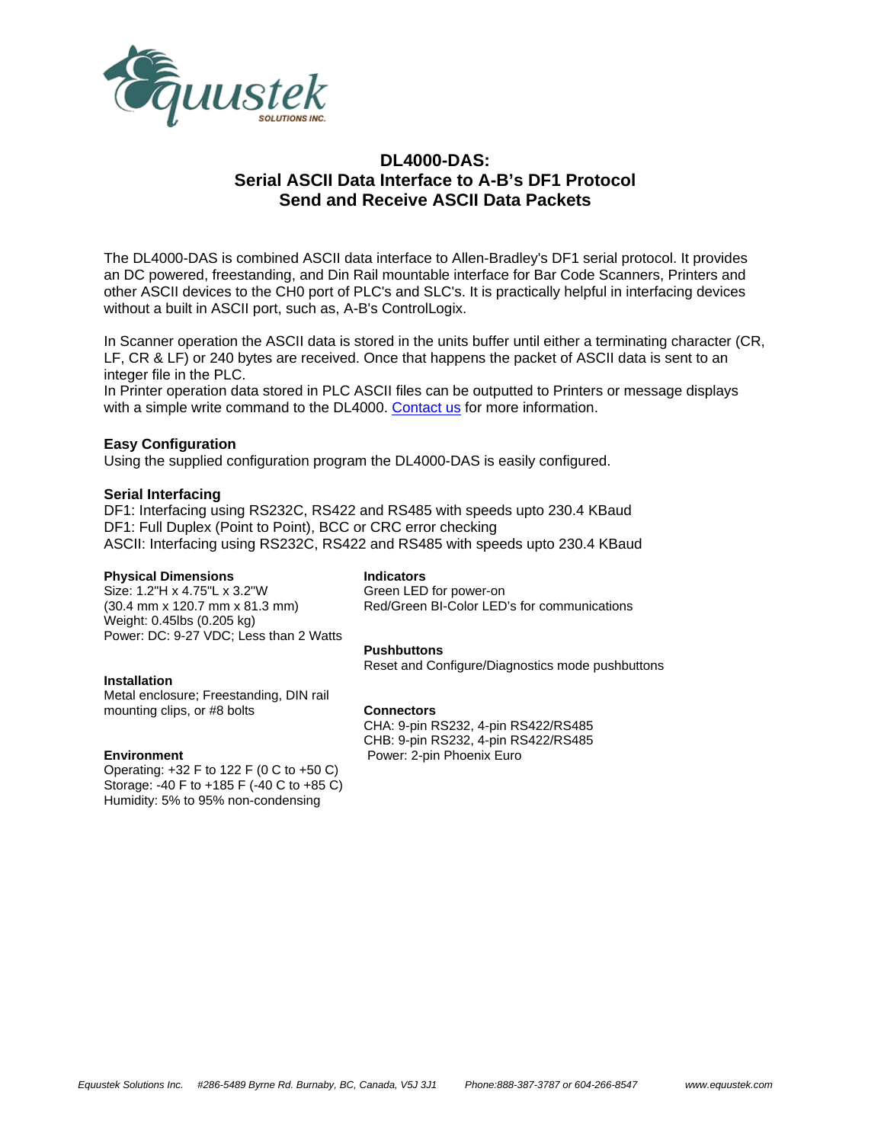

# **DL4000-DAS: Serial ASCII Data Interface to A-B's DF1 Protocol Send and Receive ASCII Data Packets**

The DL4000-DAS is combined ASCII data interface to Allen-Bradley's DF1 serial protocol. It provides an DC powered, freestanding, and Din Rail mountable interface for Bar Code Scanners, Printers and other ASCII devices to the CH0 port of PLC's and SLC's. It is practically helpful in interfacing devices without a built in ASCII port, such as, A-B's ControlLogix.

In Scanner operation the ASCII data is stored in the units buffer until either a terminating character (CR, LF, CR & LF) or 240 bytes are received. Once that happens the packet of ASCII data is sent to an integer file in the PLC.

In Printer operation data stored in PLC ASCII files can be outputted to Printers or message displays with a simple write command to the DL4000. Contact us for more information.

### **Easy Configuration**

Using the supplied configuration program the DL4000-DAS is easily configured.

### **Serial Interfacing**

DF1: Interfacing using RS232C, RS422 and RS485 with speeds upto 230.4 KBaud DF1: Full Duplex (Point to Point), BCC or CRC error checking ASCII: Interfacing using RS232C, RS422 and RS485 with speeds upto 230.4 KBaud

### **Physical Dimensions**

Size: 1.2"H x 4.75"L x 3.2"W (30.4 mm x 120.7 mm x 81.3 mm) Weight: 0.45lbs (0.205 kg) Power: DC: 9-27 VDC; Less than 2 Watts

## **Indicators**

Green LED for power-on Red/Green BI-Color LED's for communications

## **Pushbuttons**

Reset and Configure/Diagnostics mode pushbuttons

### **Installation**

Metal enclosure; Freestanding, DIN rail mounting clips, or #8 bolts

### **Environment**

Operating: +32 F to 122 F (0 C to +50 C) Storage: -40 F to +185 F (-40 C to +85 C) Humidity: 5% to 95% non-condensing

**Connectors**  CHA: 9-pin RS232, 4-pin RS422/RS485 CHB: 9-pin RS232, 4-pin RS422/RS485 Power: 2-pin Phoenix Euro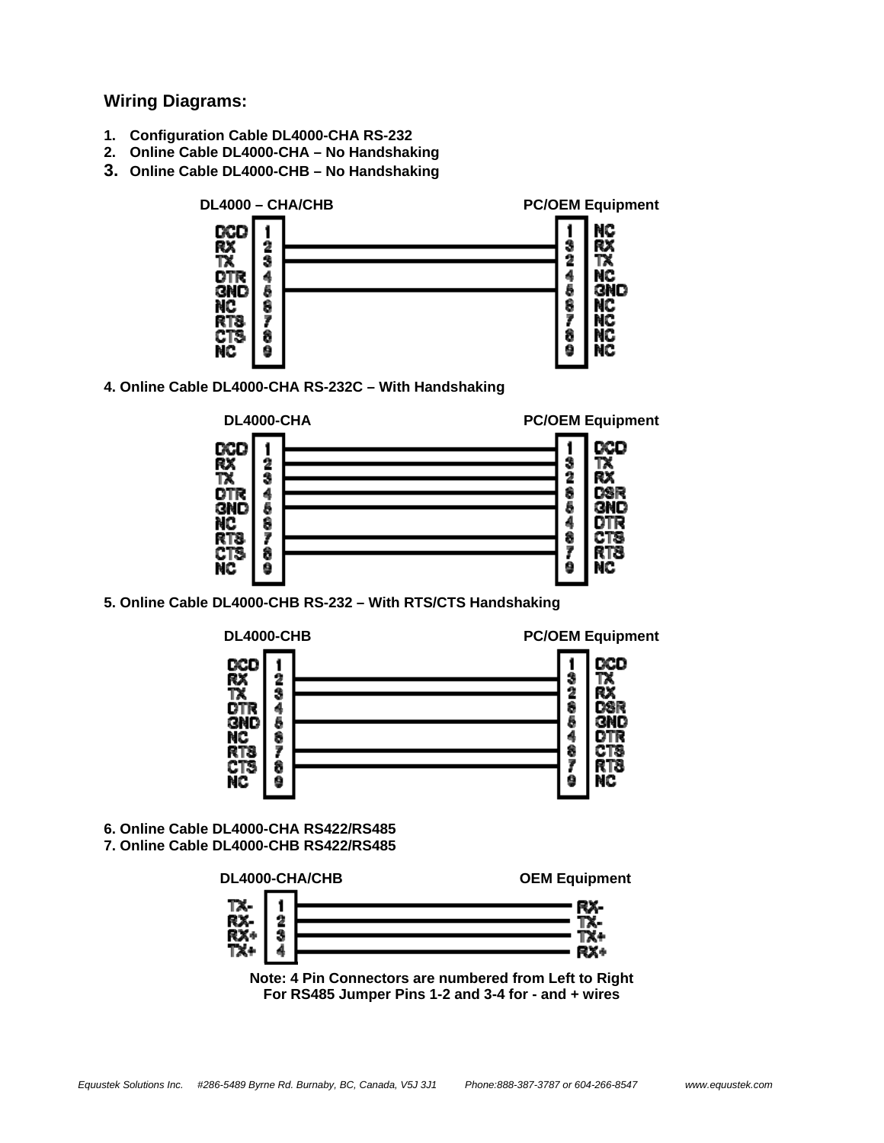**Wiring Diagrams:** 

- **1. Configuration Cable DL4000-CHA RS-232**
- **2. Online Cable DL4000-CHA No Handshaking**
- **3. Online Cable DL4000-CHB No Handshaking**



**4. Online Cable DL4000-CHA RS-232C – With Handshaking** 



**5. Online Cable DL4000-CHB RS-232 – With RTS/CTS Handshaking** 



- **6. Online Cable DL4000-CHA RS422/RS485**
- **7. Online Cable DL4000-CHB RS422/RS485**



**Note: 4 Pin Connectors are numbered from Left to Right For RS485 Jumper Pins 1-2 and 3-4 for - and + wires**